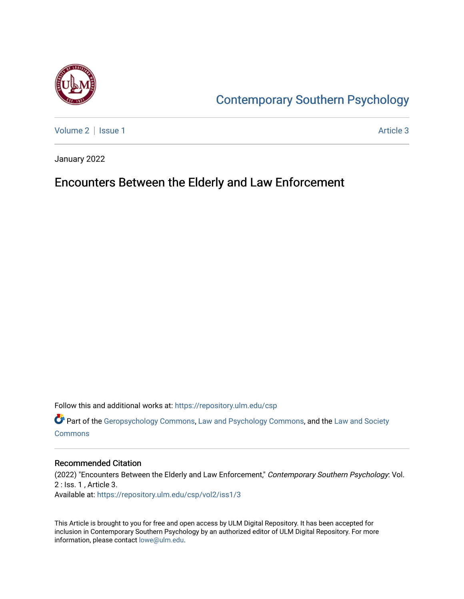

# [Contemporary Southern Psychology](https://repository.ulm.edu/csp)

[Volume 2](https://repository.ulm.edu/csp/vol2) | [Issue 1](https://repository.ulm.edu/csp/vol2/iss1) Article 3

January 2022

## Encounters Between the Elderly and Law Enforcement

Follow this and additional works at: [https://repository.ulm.edu/csp](https://repository.ulm.edu/csp?utm_source=repository.ulm.edu%2Fcsp%2Fvol2%2Fiss1%2F3&utm_medium=PDF&utm_campaign=PDFCoverPages) 

**P** Part of the [Geropsychology Commons](http://network.bepress.com/hgg/discipline/1420?utm_source=repository.ulm.edu%2Fcsp%2Fvol2%2Fiss1%2F3&utm_medium=PDF&utm_campaign=PDFCoverPages), [Law and Psychology Commons](http://network.bepress.com/hgg/discipline/870?utm_source=repository.ulm.edu%2Fcsp%2Fvol2%2Fiss1%2F3&utm_medium=PDF&utm_campaign=PDFCoverPages), and the Law and Society [Commons](http://network.bepress.com/hgg/discipline/853?utm_source=repository.ulm.edu%2Fcsp%2Fvol2%2Fiss1%2F3&utm_medium=PDF&utm_campaign=PDFCoverPages)

## Recommended Citation

(2022) "Encounters Between the Elderly and Law Enforcement," Contemporary Southern Psychology: Vol. 2 : Iss. 1 , Article 3. Available at: [https://repository.ulm.edu/csp/vol2/iss1/3](https://repository.ulm.edu/csp/vol2/iss1/3?utm_source=repository.ulm.edu%2Fcsp%2Fvol2%2Fiss1%2F3&utm_medium=PDF&utm_campaign=PDFCoverPages) 

This Article is brought to you for free and open access by ULM Digital Repository. It has been accepted for inclusion in Contemporary Southern Psychology by an authorized editor of ULM Digital Repository. For more information, please contact [lowe@ulm.edu.](mailto:lowe@ulm.edu)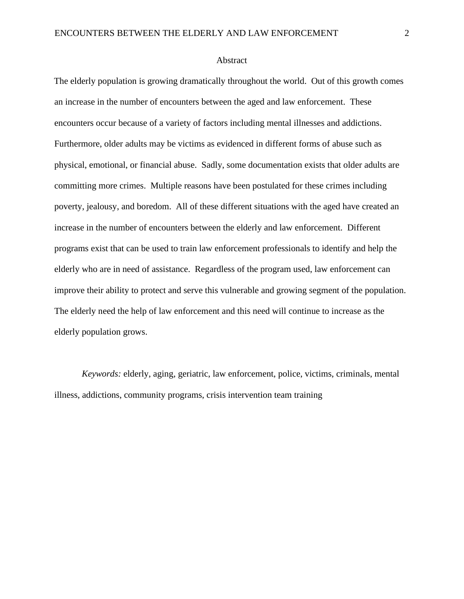### Abstract

The elderly population is growing dramatically throughout the world. Out of this growth comes an increase in the number of encounters between the aged and law enforcement. These encounters occur because of a variety of factors including mental illnesses and addictions. Furthermore, older adults may be victims as evidenced in different forms of abuse such as physical, emotional, or financial abuse. Sadly, some documentation exists that older adults are committing more crimes. Multiple reasons have been postulated for these crimes including poverty, jealousy, and boredom. All of these different situations with the aged have created an increase in the number of encounters between the elderly and law enforcement. Different programs exist that can be used to train law enforcement professionals to identify and help the elderly who are in need of assistance. Regardless of the program used, law enforcement can improve their ability to protect and serve this vulnerable and growing segment of the population. The elderly need the help of law enforcement and this need will continue to increase as the elderly population grows.

*Keywords:* elderly, aging, geriatric, law enforcement, police, victims, criminals, mental illness, addictions, community programs, crisis intervention team training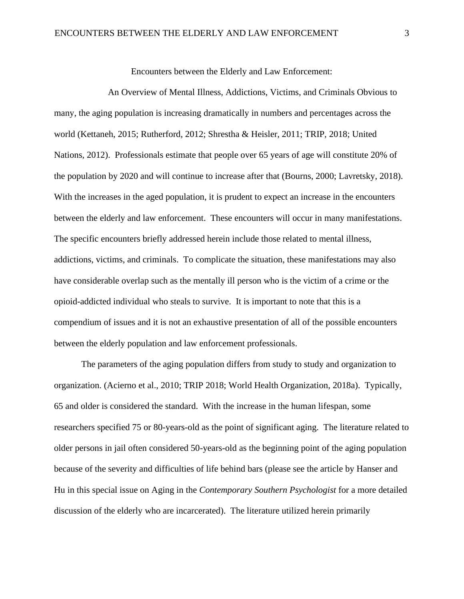Encounters between the Elderly and Law Enforcement:

An Overview of Mental Illness, Addictions, Victims, and Criminals Obvious to many, the aging population is increasing dramatically in numbers and percentages across the world (Kettaneh, 2015; Rutherford, 2012; Shrestha & Heisler, 2011; TRIP, 2018; United Nations, 2012). Professionals estimate that people over 65 years of age will constitute 20% of the population by 2020 and will continue to increase after that (Bourns, 2000; Lavretsky, 2018). With the increases in the aged population, it is prudent to expect an increase in the encounters between the elderly and law enforcement. These encounters will occur in many manifestations. The specific encounters briefly addressed herein include those related to mental illness, addictions, victims, and criminals. To complicate the situation, these manifestations may also have considerable overlap such as the mentally ill person who is the victim of a crime or the opioid-addicted individual who steals to survive. It is important to note that this is a compendium of issues and it is not an exhaustive presentation of all of the possible encounters between the elderly population and law enforcement professionals.

The parameters of the aging population differs from study to study and organization to organization. (Acierno et al., 2010; TRIP 2018; World Health Organization, 2018a). Typically, 65 and older is considered the standard. With the increase in the human lifespan, some researchers specified 75 or 80-years-old as the point of significant aging. The literature related to older persons in jail often considered 50-years-old as the beginning point of the aging population because of the severity and difficulties of life behind bars (please see the article by Hanser and Hu in this special issue on Aging in the *Contemporary Southern Psychologist* for a more detailed discussion of the elderly who are incarcerated). The literature utilized herein primarily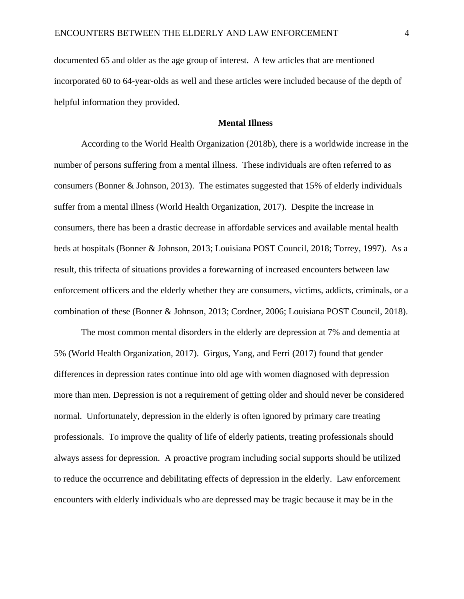documented 65 and older as the age group of interest. A few articles that are mentioned incorporated 60 to 64-year-olds as well and these articles were included because of the depth of helpful information they provided.

## **Mental Illness**

According to the World Health Organization (2018b), there is a worldwide increase in the number of persons suffering from a mental illness. These individuals are often referred to as consumers (Bonner & Johnson, 2013). The estimates suggested that 15% of elderly individuals suffer from a mental illness (World Health Organization, 2017). Despite the increase in consumers, there has been a drastic decrease in affordable services and available mental health beds at hospitals (Bonner & Johnson, 2013; Louisiana POST Council, 2018; Torrey, 1997). As a result, this trifecta of situations provides a forewarning of increased encounters between law enforcement officers and the elderly whether they are consumers, victims, addicts, criminals, or a combination of these (Bonner & Johnson, 2013; Cordner, 2006; Louisiana POST Council, 2018).

The most common mental disorders in the elderly are depression at 7% and dementia at 5% (World Health Organization, 2017). Girgus, Yang, and Ferri (2017) found that gender differences in depression rates continue into old age with women diagnosed with depression more than men. Depression is not a requirement of getting older and should never be considered normal. Unfortunately, depression in the elderly is often ignored by primary care treating professionals. To improve the quality of life of elderly patients, treating professionals should always assess for depression. A proactive program including social supports should be utilized to reduce the occurrence and debilitating effects of depression in the elderly. Law enforcement encounters with elderly individuals who are depressed may be tragic because it may be in the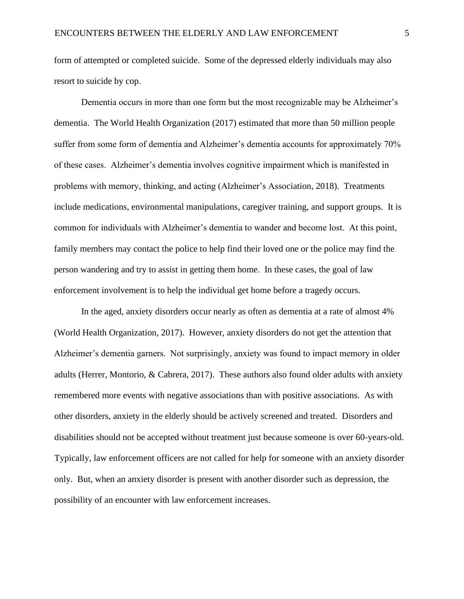form of attempted or completed suicide. Some of the depressed elderly individuals may also resort to suicide by cop.

Dementia occurs in more than one form but the most recognizable may be Alzheimer's dementia. The World Health Organization (2017) estimated that more than 50 million people suffer from some form of dementia and Alzheimer's dementia accounts for approximately 70% of these cases. Alzheimer's dementia involves cognitive impairment which is manifested in problems with memory, thinking, and acting (Alzheimer's Association, 2018). Treatments include medications, environmental manipulations, caregiver training, and support groups. It is common for individuals with Alzheimer's dementia to wander and become lost. At this point, family members may contact the police to help find their loved one or the police may find the person wandering and try to assist in getting them home. In these cases, the goal of law enforcement involvement is to help the individual get home before a tragedy occurs.

In the aged, anxiety disorders occur nearly as often as dementia at a rate of almost 4% (World Health Organization, 2017). However, anxiety disorders do not get the attention that Alzheimer's dementia garners. Not surprisingly, anxiety was found to impact memory in older adults (Herrer, Montorio, & Cabrera, 2017). These authors also found older adults with anxiety remembered more events with negative associations than with positive associations. As with other disorders, anxiety in the elderly should be actively screened and treated. Disorders and disabilities should not be accepted without treatment just because someone is over 60-years-old. Typically, law enforcement officers are not called for help for someone with an anxiety disorder only. But, when an anxiety disorder is present with another disorder such as depression, the possibility of an encounter with law enforcement increases.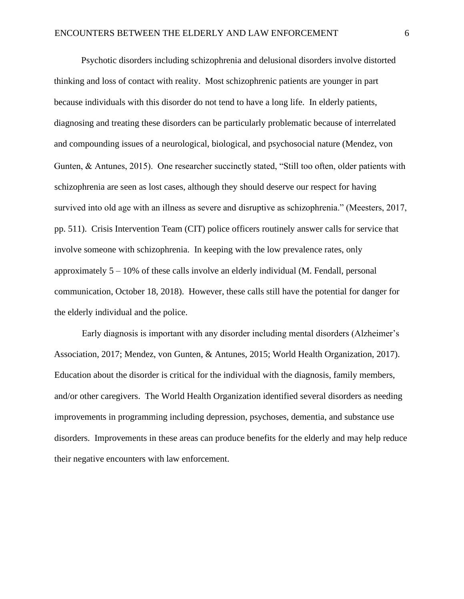Psychotic disorders including schizophrenia and delusional disorders involve distorted thinking and loss of contact with reality. Most schizophrenic patients are younger in part because individuals with this disorder do not tend to have a long life. In elderly patients, diagnosing and treating these disorders can be particularly problematic because of interrelated and compounding issues of a neurological, biological, and psychosocial nature (Mendez, von Gunten, & Antunes, 2015). One researcher succinctly stated, "Still too often, older patients with schizophrenia are seen as lost cases, although they should deserve our respect for having survived into old age with an illness as severe and disruptive as schizophrenia." (Meesters, 2017, pp. 511). Crisis Intervention Team (CIT) police officers routinely answer calls for service that involve someone with schizophrenia. In keeping with the low prevalence rates, only approximately  $5 - 10\%$  of these calls involve an elderly individual (M. Fendall, personal communication, October 18, 2018). However, these calls still have the potential for danger for the elderly individual and the police.

Early diagnosis is important with any disorder including mental disorders (Alzheimer's Association, 2017; Mendez, von Gunten, & Antunes, 2015; World Health Organization, 2017). Education about the disorder is critical for the individual with the diagnosis, family members, and/or other caregivers. The World Health Organization identified several disorders as needing improvements in programming including depression, psychoses, dementia, and substance use disorders. Improvements in these areas can produce benefits for the elderly and may help reduce their negative encounters with law enforcement.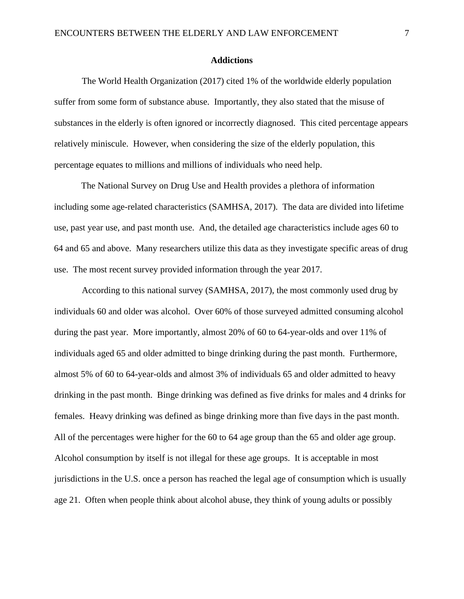## **Addictions**

The World Health Organization (2017) cited 1% of the worldwide elderly population suffer from some form of substance abuse. Importantly, they also stated that the misuse of substances in the elderly is often ignored or incorrectly diagnosed. This cited percentage appears relatively miniscule. However, when considering the size of the elderly population, this percentage equates to millions and millions of individuals who need help.

The National Survey on Drug Use and Health provides a plethora of information including some age-related characteristics (SAMHSA, 2017). The data are divided into lifetime use, past year use, and past month use. And, the detailed age characteristics include ages 60 to 64 and 65 and above. Many researchers utilize this data as they investigate specific areas of drug use. The most recent survey provided information through the year 2017.

According to this national survey (SAMHSA, 2017), the most commonly used drug by individuals 60 and older was alcohol. Over 60% of those surveyed admitted consuming alcohol during the past year. More importantly, almost 20% of 60 to 64-year-olds and over 11% of individuals aged 65 and older admitted to binge drinking during the past month. Furthermore, almost 5% of 60 to 64-year-olds and almost 3% of individuals 65 and older admitted to heavy drinking in the past month. Binge drinking was defined as five drinks for males and 4 drinks for females. Heavy drinking was defined as binge drinking more than five days in the past month. All of the percentages were higher for the 60 to 64 age group than the 65 and older age group. Alcohol consumption by itself is not illegal for these age groups. It is acceptable in most jurisdictions in the U.S. once a person has reached the legal age of consumption which is usually age 21. Often when people think about alcohol abuse, they think of young adults or possibly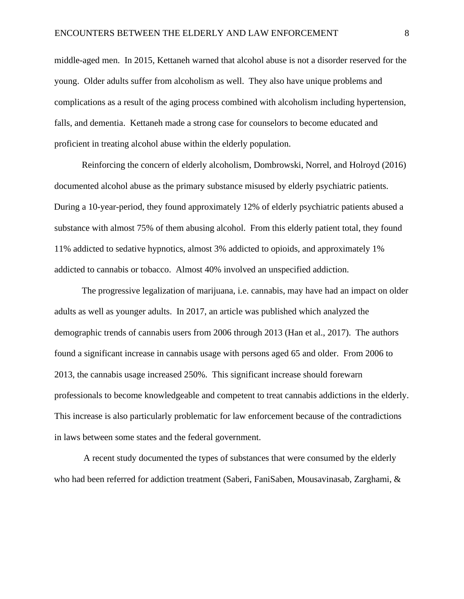middle-aged men. In 2015, Kettaneh warned that alcohol abuse is not a disorder reserved for the young. Older adults suffer from alcoholism as well. They also have unique problems and complications as a result of the aging process combined with alcoholism including hypertension, falls, and dementia. Kettaneh made a strong case for counselors to become educated and proficient in treating alcohol abuse within the elderly population.

Reinforcing the concern of elderly alcoholism, Dombrowski, Norrel, and Holroyd (2016) documented alcohol abuse as the primary substance misused by elderly psychiatric patients. During a 10-year-period, they found approximately 12% of elderly psychiatric patients abused a substance with almost 75% of them abusing alcohol. From this elderly patient total, they found 11% addicted to sedative hypnotics, almost 3% addicted to opioids, and approximately 1% addicted to cannabis or tobacco. Almost 40% involved an unspecified addiction.

The progressive legalization of marijuana, i.e. cannabis, may have had an impact on older adults as well as younger adults. In 2017, an article was published which analyzed the demographic trends of cannabis users from 2006 through 2013 (Han et al., 2017). The authors found a significant increase in cannabis usage with persons aged 65 and older. From 2006 to 2013, the cannabis usage increased 250%. This significant increase should forewarn professionals to become knowledgeable and competent to treat cannabis addictions in the elderly. This increase is also particularly problematic for law enforcement because of the contradictions in laws between some states and the federal government.

A recent study documented the types of substances that were consumed by the elderly who had been referred for addiction treatment (Saberi, FaniSaben, Mousavinasab, Zarghami, &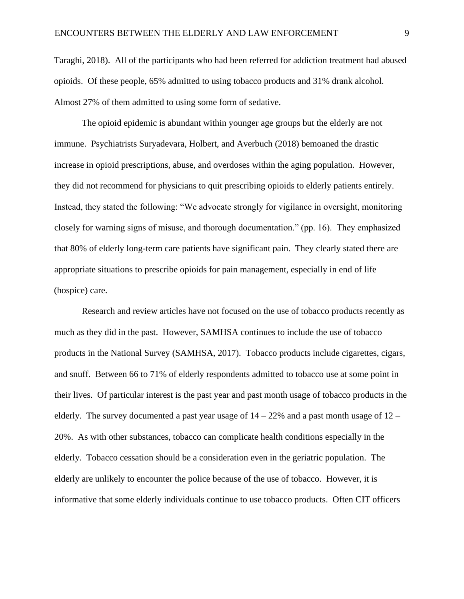Taraghi, 2018). All of the participants who had been referred for addiction treatment had abused opioids. Of these people, 65% admitted to using tobacco products and 31% drank alcohol. Almost 27% of them admitted to using some form of sedative.

The opioid epidemic is abundant within younger age groups but the elderly are not immune. Psychiatrists Suryadevara, Holbert, and Averbuch (2018) bemoaned the drastic increase in opioid prescriptions, abuse, and overdoses within the aging population. However, they did not recommend for physicians to quit prescribing opioids to elderly patients entirely. Instead, they stated the following: "We advocate strongly for vigilance in oversight, monitoring closely for warning signs of misuse, and thorough documentation." (pp. 16). They emphasized that 80% of elderly long-term care patients have significant pain. They clearly stated there are appropriate situations to prescribe opioids for pain management, especially in end of life (hospice) care.

Research and review articles have not focused on the use of tobacco products recently as much as they did in the past. However, SAMHSA continues to include the use of tobacco products in the National Survey (SAMHSA, 2017). Tobacco products include cigarettes, cigars, and snuff. Between 66 to 71% of elderly respondents admitted to tobacco use at some point in their lives. Of particular interest is the past year and past month usage of tobacco products in the elderly. The survey documented a past year usage of  $14 - 22\%$  and a past month usage of  $12 -$ 20%. As with other substances, tobacco can complicate health conditions especially in the elderly. Tobacco cessation should be a consideration even in the geriatric population. The elderly are unlikely to encounter the police because of the use of tobacco. However, it is informative that some elderly individuals continue to use tobacco products. Often CIT officers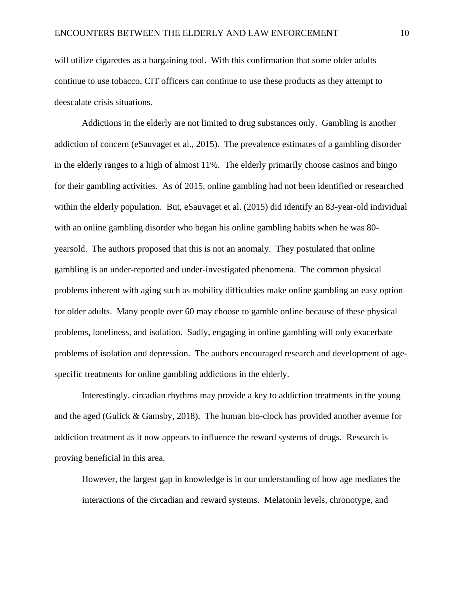will utilize cigarettes as a bargaining tool. With this confirmation that some older adults continue to use tobacco, CIT officers can continue to use these products as they attempt to deescalate crisis situations.

Addictions in the elderly are not limited to drug substances only. Gambling is another addiction of concern (eSauvaget et al., 2015). The prevalence estimates of a gambling disorder in the elderly ranges to a high of almost 11%. The elderly primarily choose casinos and bingo for their gambling activities. As of 2015, online gambling had not been identified or researched within the elderly population. But, eSauvaget et al. (2015) did identify an 83-year-old individual with an online gambling disorder who began his online gambling habits when he was 80 yearsold. The authors proposed that this is not an anomaly. They postulated that online gambling is an under-reported and under-investigated phenomena. The common physical problems inherent with aging such as mobility difficulties make online gambling an easy option for older adults. Many people over 60 may choose to gamble online because of these physical problems, loneliness, and isolation. Sadly, engaging in online gambling will only exacerbate problems of isolation and depression. The authors encouraged research and development of agespecific treatments for online gambling addictions in the elderly.

 Interestingly, circadian rhythms may provide a key to addiction treatments in the young and the aged (Gulick & Gamsby, 2018). The human bio-clock has provided another avenue for addiction treatment as it now appears to influence the reward systems of drugs. Research is proving beneficial in this area.

However, the largest gap in knowledge is in our understanding of how age mediates the interactions of the circadian and reward systems. Melatonin levels, chronotype, and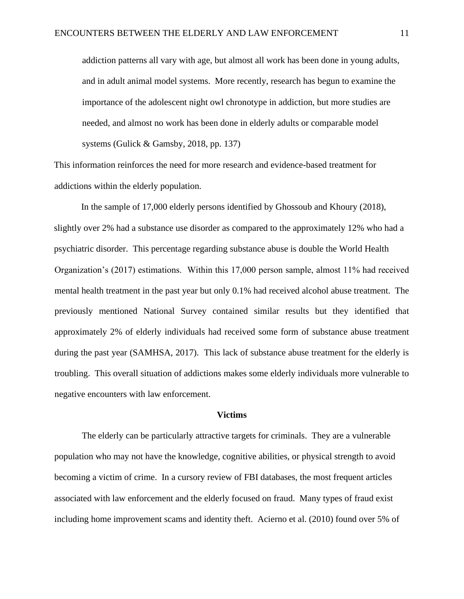addiction patterns all vary with age, but almost all work has been done in young adults, and in adult animal model systems. More recently, research has begun to examine the importance of the adolescent night owl chronotype in addiction, but more studies are needed, and almost no work has been done in elderly adults or comparable model systems (Gulick & Gamsby, 2018, pp. 137)

This information reinforces the need for more research and evidence-based treatment for addictions within the elderly population.

In the sample of 17,000 elderly persons identified by Ghossoub and Khoury (2018), slightly over 2% had a substance use disorder as compared to the approximately 12% who had a psychiatric disorder. This percentage regarding substance abuse is double the World Health Organization's (2017) estimations. Within this 17,000 person sample, almost 11% had received mental health treatment in the past year but only 0.1% had received alcohol abuse treatment. The previously mentioned National Survey contained similar results but they identified that approximately 2% of elderly individuals had received some form of substance abuse treatment during the past year (SAMHSA, 2017). This lack of substance abuse treatment for the elderly is troubling. This overall situation of addictions makes some elderly individuals more vulnerable to negative encounters with law enforcement.

#### **Victims**

The elderly can be particularly attractive targets for criminals. They are a vulnerable population who may not have the knowledge, cognitive abilities, or physical strength to avoid becoming a victim of crime. In a cursory review of FBI databases, the most frequent articles associated with law enforcement and the elderly focused on fraud. Many types of fraud exist including home improvement scams and identity theft. Acierno et al. (2010) found over 5% of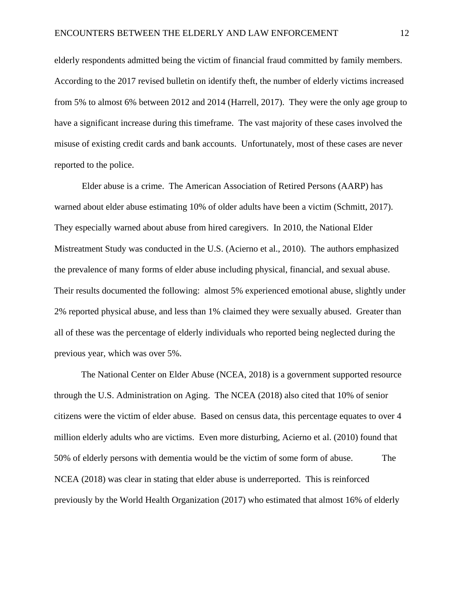elderly respondents admitted being the victim of financial fraud committed by family members. According to the 2017 revised bulletin on identify theft, the number of elderly victims increased from 5% to almost 6% between 2012 and 2014 (Harrell, 2017). They were the only age group to have a significant increase during this timeframe. The vast majority of these cases involved the misuse of existing credit cards and bank accounts. Unfortunately, most of these cases are never reported to the police.

Elder abuse is a crime. The American Association of Retired Persons (AARP) has warned about elder abuse estimating 10% of older adults have been a victim (Schmitt, 2017). They especially warned about abuse from hired caregivers. In 2010, the National Elder Mistreatment Study was conducted in the U.S. (Acierno et al., 2010). The authors emphasized the prevalence of many forms of elder abuse including physical, financial, and sexual abuse. Their results documented the following: almost 5% experienced emotional abuse, slightly under 2% reported physical abuse, and less than 1% claimed they were sexually abused. Greater than all of these was the percentage of elderly individuals who reported being neglected during the previous year, which was over 5%.

The National Center on Elder Abuse (NCEA, 2018) is a government supported resource through the U.S. Administration on Aging. The NCEA (2018) also cited that 10% of senior citizens were the victim of elder abuse. Based on census data, this percentage equates to over 4 million elderly adults who are victims. Even more disturbing, Acierno et al. (2010) found that 50% of elderly persons with dementia would be the victim of some form of abuse. The NCEA (2018) was clear in stating that elder abuse is underreported. This is reinforced previously by the World Health Organization (2017) who estimated that almost 16% of elderly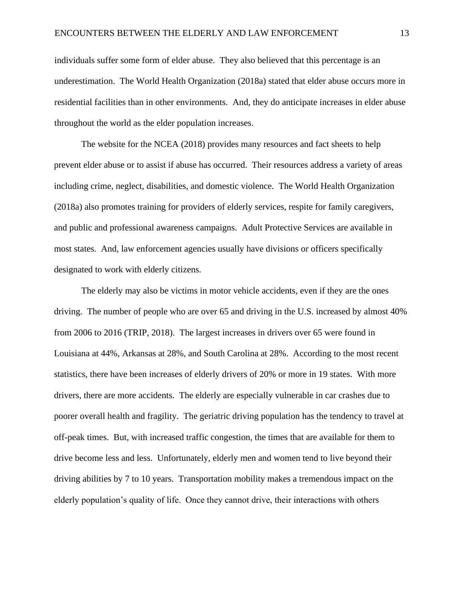individuals suffer some form of elder abuse. They also believed that this percentage is an underestimation. The World Health Organization (2018a) stated that elder abuse occurs more in residential facilities than in other environments. And, they do anticipate increases in elder abuse throughout the world as the elder population increases.

The website for the NCEA (2018) provides many resources and fact sheets to help prevent elder abuse or to assist if abuse has occurred. Their resources address a variety of areas including crime, neglect, disabilities, and domestic violence. The World Health Organization (2018a) also promotes training for providers of elderly services, respite for family caregivers, and public and professional awareness campaigns. Adult Protective Services are available in most states. And, law enforcement agencies usually have divisions or officers specifically designated to work with elderly citizens.

The elderly may also be victims in motor vehicle accidents, even if they are the ones driving. The number of people who are over 65 and driving in the U.S. increased by almost 40% from 2006 to 2016 (TRIP, 2018). The largest increases in drivers over 65 were found in Louisiana at 44%, Arkansas at 28%, and South Carolina at 28%. According to the most recent statistics, there have been increases of elderly drivers of 20% or more in 19 states. With more drivers, there are more accidents. The elderly are especially vulnerable in car crashes due to poorer overall health and fragility. The geriatric driving population has the tendency to travel at off-peak times. But, with increased traffic congestion, the times that are available for them to drive become less and less. Unfortunately, elderly men and women tend to live beyond their driving abilities by 7 to 10 years. Transportation mobility makes a tremendous impact on the elderly population's quality of life. Once they cannot drive, their interactions with others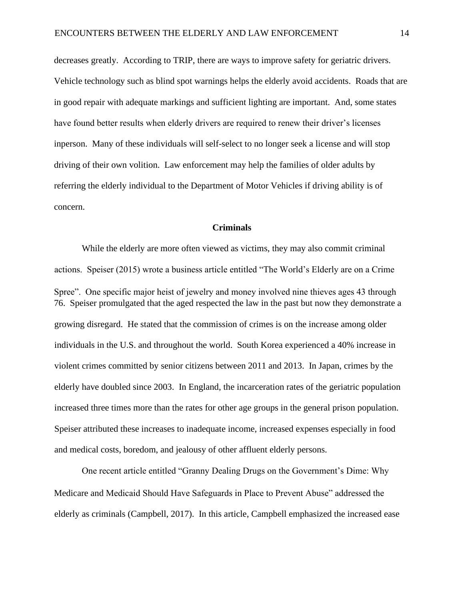decreases greatly. According to TRIP, there are ways to improve safety for geriatric drivers. Vehicle technology such as blind spot warnings helps the elderly avoid accidents. Roads that are in good repair with adequate markings and sufficient lighting are important. And, some states have found better results when elderly drivers are required to renew their driver's licenses inperson. Many of these individuals will self-select to no longer seek a license and will stop driving of their own volition. Law enforcement may help the families of older adults by referring the elderly individual to the Department of Motor Vehicles if driving ability is of concern.

## **Criminals**

While the elderly are more often viewed as victims, they may also commit criminal actions. Speiser (2015) wrote a business article entitled "The World's Elderly are on a Crime Spree". One specific major heist of jewelry and money involved nine thieves ages 43 through 76. Speiser promulgated that the aged respected the law in the past but now they demonstrate a growing disregard. He stated that the commission of crimes is on the increase among older individuals in the U.S. and throughout the world. South Korea experienced a 40% increase in violent crimes committed by senior citizens between 2011 and 2013. In Japan, crimes by the elderly have doubled since 2003. In England, the incarceration rates of the geriatric population increased three times more than the rates for other age groups in the general prison population. Speiser attributed these increases to inadequate income, increased expenses especially in food and medical costs, boredom, and jealousy of other affluent elderly persons.

One recent article entitled "Granny Dealing Drugs on the Government's Dime: Why Medicare and Medicaid Should Have Safeguards in Place to Prevent Abuse" addressed the elderly as criminals (Campbell, 2017). In this article, Campbell emphasized the increased ease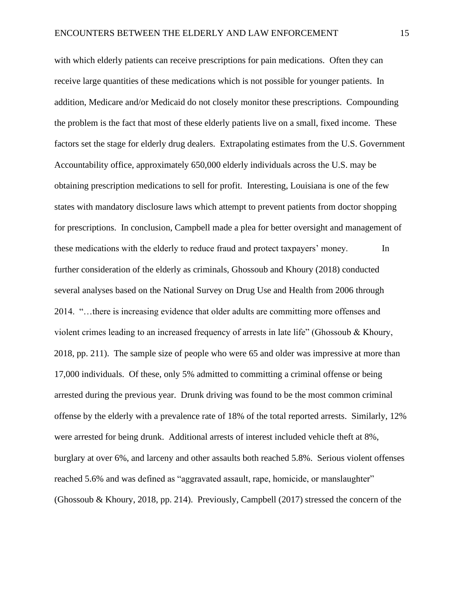with which elderly patients can receive prescriptions for pain medications. Often they can receive large quantities of these medications which is not possible for younger patients. In addition, Medicare and/or Medicaid do not closely monitor these prescriptions. Compounding the problem is the fact that most of these elderly patients live on a small, fixed income. These factors set the stage for elderly drug dealers. Extrapolating estimates from the U.S. Government Accountability office, approximately 650,000 elderly individuals across the U.S. may be obtaining prescription medications to sell for profit. Interesting, Louisiana is one of the few states with mandatory disclosure laws which attempt to prevent patients from doctor shopping for prescriptions. In conclusion, Campbell made a plea for better oversight and management of these medications with the elderly to reduce fraud and protect taxpayers' money. In further consideration of the elderly as criminals, Ghossoub and Khoury (2018) conducted several analyses based on the National Survey on Drug Use and Health from 2006 through 2014. "…there is increasing evidence that older adults are committing more offenses and violent crimes leading to an increased frequency of arrests in late life" (Ghossoub & Khoury, 2018, pp. 211). The sample size of people who were 65 and older was impressive at more than 17,000 individuals. Of these, only 5% admitted to committing a criminal offense or being arrested during the previous year. Drunk driving was found to be the most common criminal offense by the elderly with a prevalence rate of 18% of the total reported arrests. Similarly, 12% were arrested for being drunk. Additional arrests of interest included vehicle theft at 8%, burglary at over 6%, and larceny and other assaults both reached 5.8%. Serious violent offenses reached 5.6% and was defined as "aggravated assault, rape, homicide, or manslaughter" (Ghossoub & Khoury, 2018, pp. 214). Previously, Campbell (2017) stressed the concern of the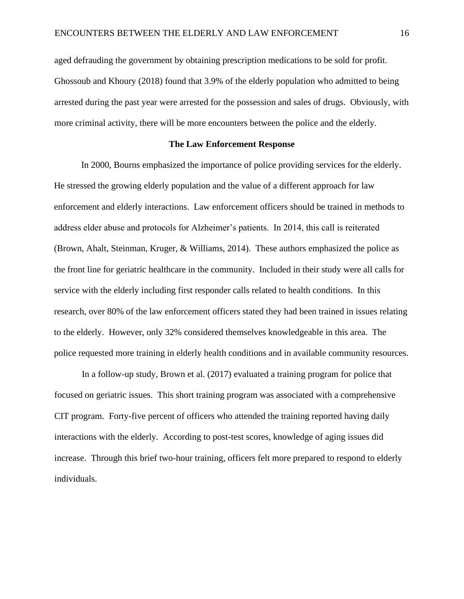aged defrauding the government by obtaining prescription medications to be sold for profit. Ghossoub and Khoury (2018) found that 3.9% of the elderly population who admitted to being arrested during the past year were arrested for the possession and sales of drugs. Obviously, with more criminal activity, there will be more encounters between the police and the elderly.

## **The Law Enforcement Response**

In 2000, Bourns emphasized the importance of police providing services for the elderly. He stressed the growing elderly population and the value of a different approach for law enforcement and elderly interactions. Law enforcement officers should be trained in methods to address elder abuse and protocols for Alzheimer's patients. In 2014, this call is reiterated (Brown, Ahalt, Steinman, Kruger, & Williams, 2014). These authors emphasized the police as the front line for geriatric healthcare in the community. Included in their study were all calls for service with the elderly including first responder calls related to health conditions. In this research, over 80% of the law enforcement officers stated they had been trained in issues relating to the elderly. However, only 32% considered themselves knowledgeable in this area. The police requested more training in elderly health conditions and in available community resources.

In a follow-up study, Brown et al. (2017) evaluated a training program for police that focused on geriatric issues. This short training program was associated with a comprehensive CIT program. Forty-five percent of officers who attended the training reported having daily interactions with the elderly. According to post-test scores, knowledge of aging issues did increase. Through this brief two-hour training, officers felt more prepared to respond to elderly individuals.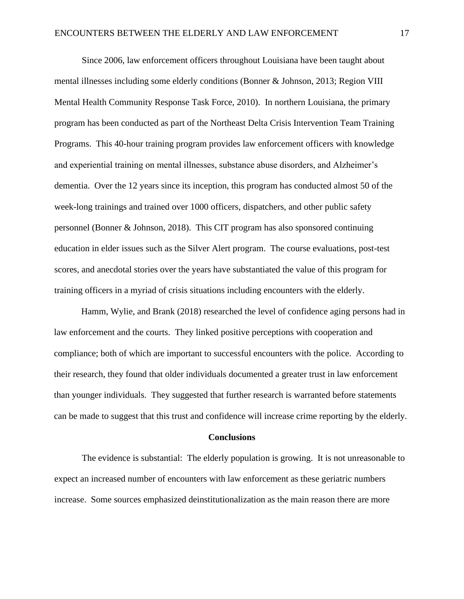Since 2006, law enforcement officers throughout Louisiana have been taught about mental illnesses including some elderly conditions (Bonner & Johnson, 2013; Region VIII Mental Health Community Response Task Force, 2010). In northern Louisiana, the primary program has been conducted as part of the Northeast Delta Crisis Intervention Team Training Programs. This 40-hour training program provides law enforcement officers with knowledge and experiential training on mental illnesses, substance abuse disorders, and Alzheimer's dementia. Over the 12 years since its inception, this program has conducted almost 50 of the week-long trainings and trained over 1000 officers, dispatchers, and other public safety personnel (Bonner & Johnson, 2018). This CIT program has also sponsored continuing education in elder issues such as the Silver Alert program. The course evaluations, post-test scores, and anecdotal stories over the years have substantiated the value of this program for training officers in a myriad of crisis situations including encounters with the elderly.

Hamm, Wylie, and Brank (2018) researched the level of confidence aging persons had in law enforcement and the courts. They linked positive perceptions with cooperation and compliance; both of which are important to successful encounters with the police. According to their research, they found that older individuals documented a greater trust in law enforcement than younger individuals. They suggested that further research is warranted before statements can be made to suggest that this trust and confidence will increase crime reporting by the elderly.

## **Conclusions**

The evidence is substantial: The elderly population is growing. It is not unreasonable to expect an increased number of encounters with law enforcement as these geriatric numbers increase. Some sources emphasized deinstitutionalization as the main reason there are more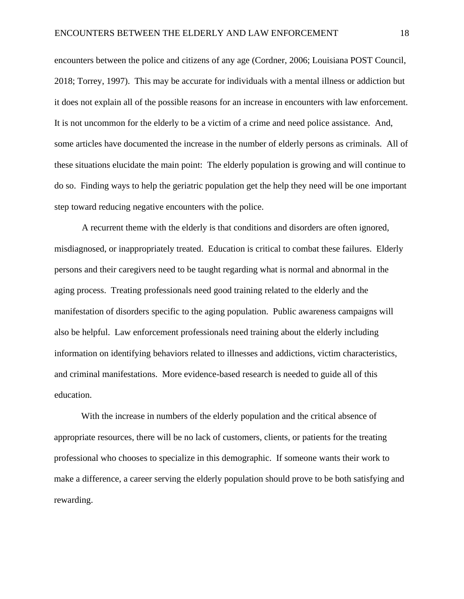encounters between the police and citizens of any age (Cordner, 2006; Louisiana POST Council, 2018; Torrey, 1997). This may be accurate for individuals with a mental illness or addiction but it does not explain all of the possible reasons for an increase in encounters with law enforcement. It is not uncommon for the elderly to be a victim of a crime and need police assistance. And, some articles have documented the increase in the number of elderly persons as criminals. All of these situations elucidate the main point: The elderly population is growing and will continue to do so. Finding ways to help the geriatric population get the help they need will be one important step toward reducing negative encounters with the police.

A recurrent theme with the elderly is that conditions and disorders are often ignored, misdiagnosed, or inappropriately treated. Education is critical to combat these failures. Elderly persons and their caregivers need to be taught regarding what is normal and abnormal in the aging process. Treating professionals need good training related to the elderly and the manifestation of disorders specific to the aging population. Public awareness campaigns will also be helpful. Law enforcement professionals need training about the elderly including information on identifying behaviors related to illnesses and addictions, victim characteristics, and criminal manifestations. More evidence-based research is needed to guide all of this education.

With the increase in numbers of the elderly population and the critical absence of appropriate resources, there will be no lack of customers, clients, or patients for the treating professional who chooses to specialize in this demographic. If someone wants their work to make a difference, a career serving the elderly population should prove to be both satisfying and rewarding.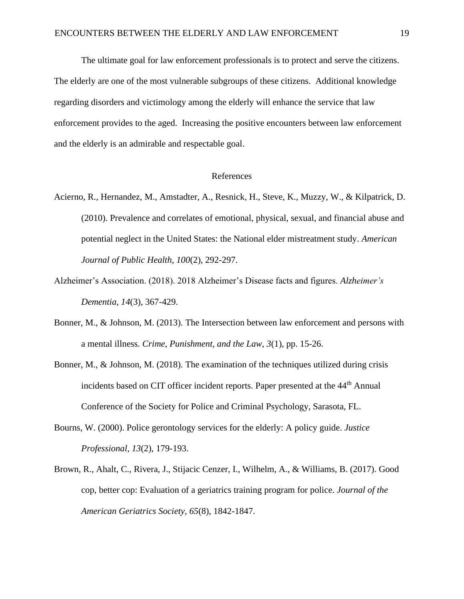The ultimate goal for law enforcement professionals is to protect and serve the citizens. The elderly are one of the most vulnerable subgroups of these citizens. Additional knowledge regarding disorders and victimology among the elderly will enhance the service that law enforcement provides to the aged. Increasing the positive encounters between law enforcement and the elderly is an admirable and respectable goal.

## References

- Acierno, R., Hernandez, M., Amstadter, A., Resnick, H., Steve, K., Muzzy, W., & Kilpatrick, D. (2010). Prevalence and correlates of emotional, physical, sexual, and financial abuse and potential neglect in the United States: the National elder mistreatment study. *American Journal of Public Health, 100*(2), 292-297.
- Alzheimer's Association. (2018). 2018 Alzheimer's Disease facts and figures. *Alzheimer's Dementia, 14*(3), 367-429.
- Bonner, M., & Johnson, M. (2013). The Intersection between law enforcement and persons with a mental illness. *Crime, Punishment, and the Law, 3*(1), pp. 15-26.
- Bonner, M., & Johnson, M. (2018). The examination of the techniques utilized during crisis incidents based on CIT officer incident reports. Paper presented at the 44<sup>th</sup> Annual Conference of the Society for Police and Criminal Psychology, Sarasota, FL.
- Bourns, W. (2000). Police gerontology services for the elderly: A policy guide. *Justice Professional, 13*(2), 179-193.
- Brown, R., Ahalt, C., Rivera, J., Stijacic Cenzer, I., Wilhelm, A., & Williams, B. (2017). Good cop, better cop: Evaluation of a geriatrics training program for police. *Journal of the American Geriatrics Society, 65*(8), 1842-1847.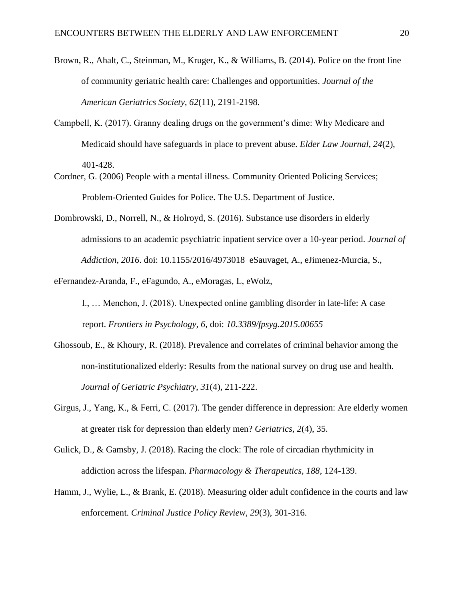- Brown, R., Ahalt, C., Steinman, M., Kruger, K., & Williams, B. (2014). Police on the front line of community geriatric health care: Challenges and opportunities. *Journal of the American Geriatrics Society, 62*(11), 2191-2198.
- Campbell, K. (2017). Granny dealing drugs on the government's dime: Why Medicare and Medicaid should have safeguards in place to prevent abuse. *Elder Law Journal, 24*(2), 401-428.
- Cordner, G. (2006) People with a mental illness. Community Oriented Policing Services; Problem-Oriented Guides for Police. The U.S. Department of Justice.
- Dombrowski, D., Norrell, N., & Holroyd, S. (2016). Substance use disorders in elderly admissions to an academic psychiatric inpatient service over a 10-year period. *Journal of Addiction, 2016*. doi: 10.1155/2016/4973018 eSauvaget, A., eJimenez-Murcia, S.,
- eFernandez-Aranda, F., eFagundo, A., eMoragas, L, eWolz,

I., … Menchon, J. (2018). Unexpected online gambling disorder in late-life: A case report. *Frontiers in Psychology, 6,* doi: *10.3389/fpsyg.2015.00655*

- Ghossoub, E., & Khoury, R. (2018). Prevalence and correlates of criminal behavior among the non-institutionalized elderly: Results from the national survey on drug use and health. *Journal of Geriatric Psychiatry, 31*(4), 211-222.
- Girgus, J., Yang, K., & Ferri, C. (2017). The gender difference in depression: Are elderly women at greater risk for depression than elderly men? *Geriatrics, 2*(4), 35.
- Gulick, D., & Gamsby, J. (2018). Racing the clock: The role of circadian rhythmicity in addiction across the lifespan. *Pharmacology & Therapeutics, 188,* 124-139.
- Hamm, J., Wylie, L., & Brank, E. (2018). Measuring older adult confidence in the courts and law enforcement. *Criminal Justice Policy Review, 29*(3), 301-316.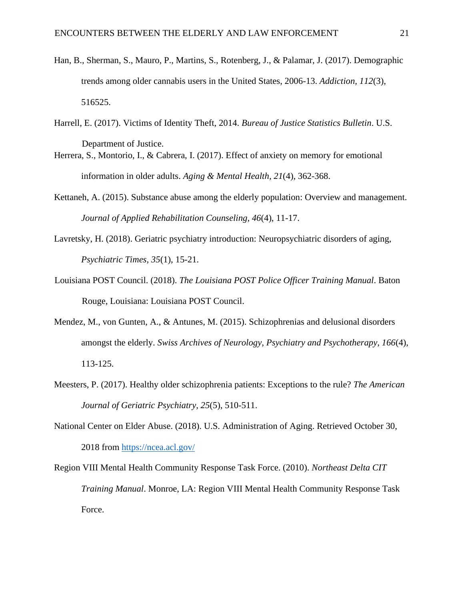- Han, B., Sherman, S., Mauro, P., Martins, S., Rotenberg, J., & Palamar, J. (2017). Demographic trends among older cannabis users in the United States, 2006-13. *Addiction, 112*(3), 516525.
- Harrell, E. (2017). Victims of Identity Theft, 2014. *Bureau of Justice Statistics Bulletin*. U.S. Department of Justice.
- Herrera, S., Montorio, I., & Cabrera, I. (2017). Effect of anxiety on memory for emotional information in older adults. *Aging & Mental Health, 21*(4), 362-368.
- Kettaneh, A. (2015). Substance abuse among the elderly population: Overview and management. *Journal of Applied Rehabilitation Counseling, 46*(4), 11-17.
- Lavretsky, H. (2018). Geriatric psychiatry introduction: Neuropsychiatric disorders of aging, *Psychiatric Times, 35*(1), 15-21.
- Louisiana POST Council. (2018). *The Louisiana POST Police Officer Training Manual*. Baton Rouge, Louisiana: Louisiana POST Council.
- Mendez, M., von Gunten, A., & Antunes, M. (2015). Schizophrenias and delusional disorders amongst the elderly. *Swiss Archives of Neurology, Psychiatry and Psychotherapy, 166*(4), 113-125.
- Meesters, P. (2017). Healthy older schizophrenia patients: Exceptions to the rule? *The American Journal of Geriatric Psychiatry, 25*(5), 510-511.
- National Center on Elder Abuse. (2018). U.S. Administration of Aging. Retrieved October 30, 2018 from<https://ncea.acl.gov/>

Region VIII Mental Health Community Response Task Force. (2010). *Northeast Delta CIT Training Manual*. Monroe, LA: Region VIII Mental Health Community Response Task Force.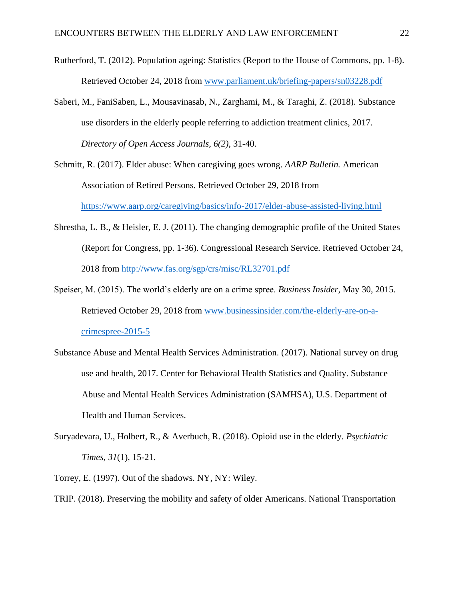- Rutherford, T. (2012). Population ageing: Statistics (Report to the House of Commons, pp. 1-8). Retrieved October 24, 2018 from [www.parliament.uk/briefing-papers/sn03228.pdf](http://www.parliament.uk/briefing-papers/sn03228.pdf)
- Saberi, M., FaniSaben, L., Mousavinasab, N., Zarghami, M., & Taraghi, Z. (2018). Substance use disorders in the elderly people referring to addiction treatment clinics, 2017. *Directory of Open Access Journals, 6(2)*, 31-40.
- Schmitt, R. (2017). Elder abuse: When caregiving goes wrong. *AARP Bulletin.* American Association of Retired Persons. Retrieved October 29, 2018 from <https://www.aarp.org/caregiving/basics/info-2017/elder-abuse-assisted-living.html>
- Shrestha, L. B., & Heisler, E. J. (2011). The changing demographic profile of the United States (Report for Congress, pp. 1-36). Congressional Research Service. Retrieved October 24, 2018 from<http://www.fas.org/sgp/crs/misc/RL32701.pdf>
- Speiser, M. (2015). The world's elderly are on a crime spree. *Business Insider,* May 30, 2015. Retrieved October 29, 2018 from [www.businessinsider.com/the-elderly-are-on-a](http://www.businessinsider.com/the-elderly-are-on-a-crime-spree-2015-5)[crimespree-2015-5](http://www.businessinsider.com/the-elderly-are-on-a-crime-spree-2015-5)
- Substance Abuse and Mental Health Services Administration. (2017). National survey on drug use and health, 2017. Center for Behavioral Health Statistics and Quality. Substance Abuse and Mental Health Services Administration (SAMHSA), U.S. Department of Health and Human Services.
- Suryadevara, U., Holbert, R., & Averbuch, R. (2018). Opioid use in the elderly. *Psychiatric Times, 31*(1), 15-21.
- Torrey, E. (1997). Out of the shadows. NY, NY: Wiley.

TRIP. (2018). Preserving the mobility and safety of older Americans. National Transportation